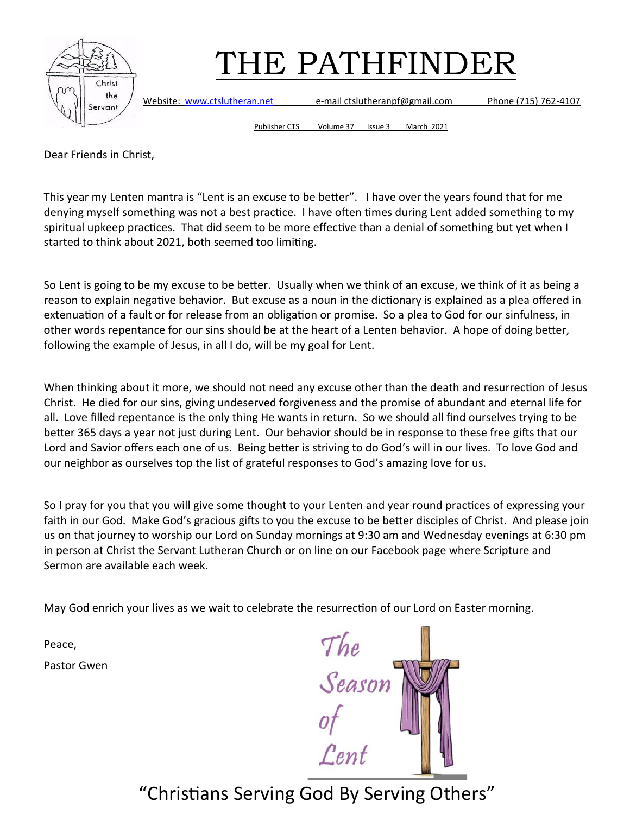

Website: [www.ctslutheran.net](http://www.ctslutheran.net/) e-mail ctslutheranpf@gmail.com Phone (715) 762-4107

Publisher CTS Volume 37 Issue 3 March 2021

Dear Friends in Christ,

This year my Lenten mantra is "Lent is an excuse to be better". I have over the years found that for me denying myself something was not a best practice. I have often times during Lent added something to my spiritual upkeep practices. That did seem to be more effective than a denial of something but yet when I started to think about 2021, both seemed too limiting.

So Lent is going to be my excuse to be better. Usually when we think of an excuse, we think of it as being a reason to explain negative behavior. But excuse as a noun in the dictionary is explained as a plea offered in extenuation of a fault or for release from an obligation or promise. So a plea to God for our sinfulness, in other words repentance for our sins should be at the heart of a Lenten behavior. A hope of doing better, following the example of Jesus, in all I do, will be my goal for Lent.

When thinking about it more, we should not need any excuse other than the death and resurrection of Jesus Christ. He died for our sins, giving undeserved forgiveness and the promise of abundant and eternal life for all. Love filled repentance is the only thing He wants in return. So we should all find ourselves trying to be better 365 days a year not just during Lent. Our behavior should be in response to these free gifts that our Lord and Savior offers each one of us. Being better is striving to do God's will in our lives. To love God and our neighbor as ourselves top the list of grateful responses to God's amazing love for us.

So I pray for you that you will give some thought to your Lenten and year round practices of expressing your faith in our God. Make God's gracious gifts to you the excuse to be better disciples of Christ. And please join us on that journey to worship our Lord on Sunday mornings at 9:30 am and Wednesday evenings at 6:30 pm in person at Christ the Servant Lutheran Church or on line on our Facebook page where Scripture and Sermon are available each week.

May God enrich your lives as we wait to celebrate the resurrection of our Lord on Easter morning.

Peace,

Pastor Gwen

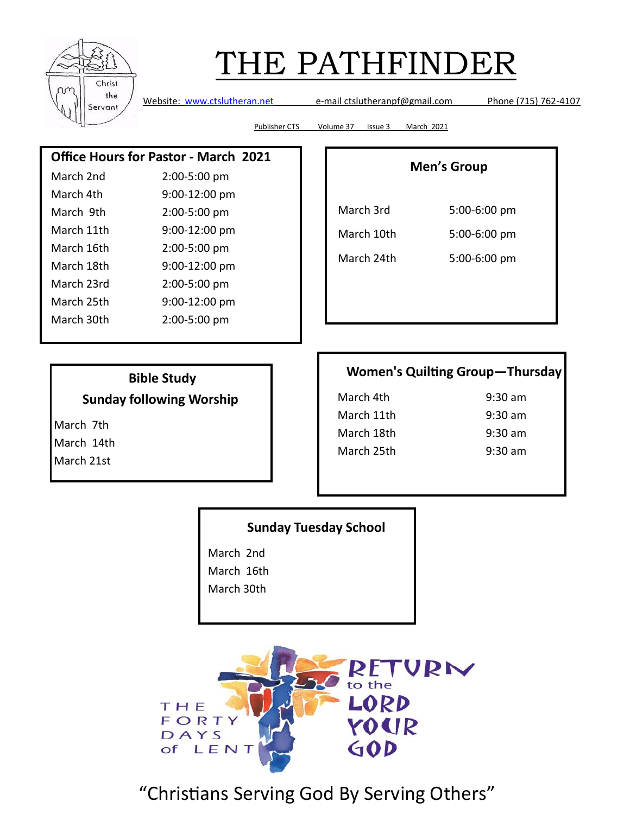| Christ<br>the<br>Servant |
|--------------------------|

Website: [www.ctslutheran.net](http://www.ctslutheran.net/) e-mail ctslutheranpf@gmail.com Phone (715) 762-4107

Publisher CTS Volume 37 Issue 3 March 2021

#### **Office Hours for Pastor - March 2021**

| March 2nd  | 2:00-5:00 pm  |
|------------|---------------|
| March 4th  | 9:00-12:00 pm |
| March 9th  | 2:00-5:00 pm  |
| March 11th | 9:00-12:00 pm |
| March 16th | 2:00-5:00 pm  |
| March 18th | 9:00-12:00 pm |
| March 23rd | 2:00-5:00 pm  |
| March 25th | 9:00-12:00 pm |
| March 30th | 2:00-5:00 pm  |
|            |               |

### **Men's Group**

| March 3rd  | 5:00-6:00 pm |
|------------|--------------|
| March 10th | 5:00-6:00 pm |
| March 24th | 5:00-6:00 pm |

### **Bible Study**

**Sunday following Worship**

March 7th March 14th March 21st

| <b>Women's Quilting Group-Thursday</b> |  |
|----------------------------------------|--|
|----------------------------------------|--|

March 4th 9:30 am March 11th 9:30 am March 18th 9:30 am March 25th 9:30 am

#### **Sunday Tuesday School**

March 2nd

March 16th

March 30th

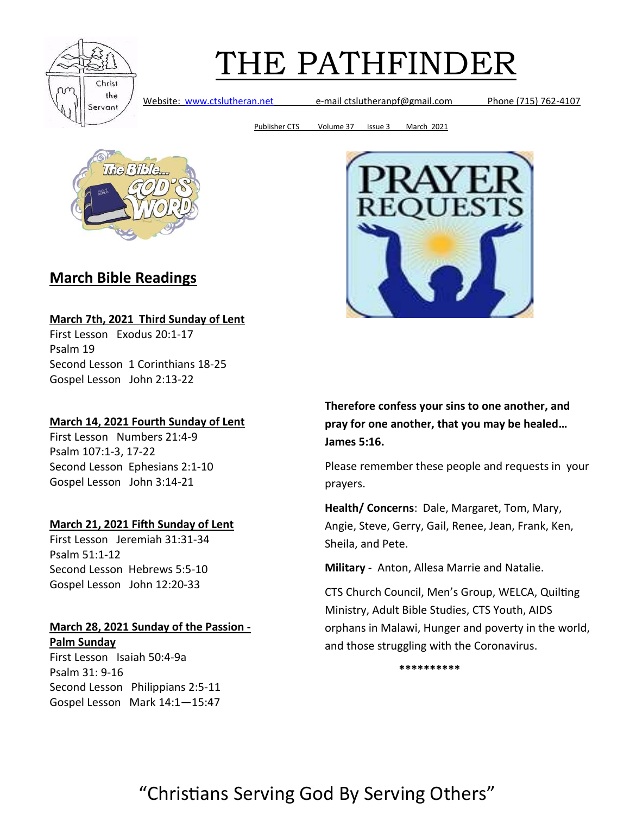

Website: [www.ctslutheran.net](http://www.ctslutheran.net/) e-mail ctslutheranpf@gmail.com Phone (715) 762-4107

Publisher CTS Volume 37 Issue 3 March 2021



### **March Bible Readings**

#### **March 7th, 2021 Third Sunday of Lent**

First Lesson Exodus 20:1-17 Psalm 19 Second Lesson 1 Corinthians 18-25 Gospel Lesson John 2:13-22

#### **March 14, 2021 Fourth Sunday of Lent**

First Lesson Numbers 21:4-9 Psalm 107:1-3, 17-22 Second Lesson Ephesians 2:1-10 Gospel Lesson John 3:14-21

#### **March 21, 2021 Fifth Sunday of Lent**

First Lesson Jeremiah 31:31-34 Psalm 51:1-12 Second Lesson Hebrews 5:5-10 Gospel Lesson John 12:20-33

#### **March 28, 2021 Sunday of the Passion - Palm Sunday**

First Lesson Isaiah 50:4-9a Psalm 31: 9-16 Second Lesson Philippians 2:5-11 Gospel Lesson Mark 14:1—15:47

**Therefore confess your sins to one another, and pray for one another, that you may be healed… James 5:16.**

Please remember these people and requests in your prayers.

**Health/ Concerns**: Dale, Margaret, Tom, Mary, Angie, Steve, Gerry, Gail, Renee, Jean, Frank, Ken, Sheila, and Pete.

**Military** - Anton, Allesa Marrie and Natalie.

CTS Church Council, Men's Group, WELCA, Quilting Ministry, Adult Bible Studies, CTS Youth, AIDS orphans in Malawi, Hunger and poverty in the world, and those struggling with the Coronavirus.

**\*\*\*\*\*\*\*\*\*\***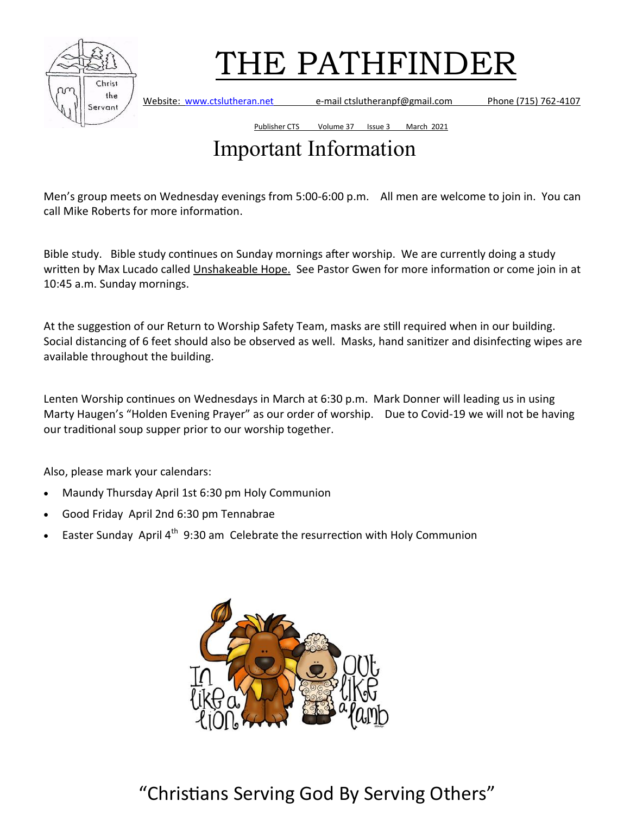

Website: [www.ctslutheran.net](http://www.ctslutheran.net/) e-mail ctslutheranpf@gmail.com Phone (715) 762-4107

Publisher CTS Volume 37 Issue 3 March 2021

## Important Information

Men's group meets on Wednesday evenings from 5:00-6:00 p.m. All men are welcome to join in. You can call Mike Roberts for more information.

Bible study. Bible study continues on Sunday mornings after worship. We are currently doing a study written by Max Lucado called Unshakeable Hope. See Pastor Gwen for more information or come join in at 10:45 a.m. Sunday mornings.

At the suggestion of our Return to Worship Safety Team, masks are still required when in our building. Social distancing of 6 feet should also be observed as well. Masks, hand sanitizer and disinfecting wipes are available throughout the building.

Lenten Worship continues on Wednesdays in March at 6:30 p.m. Mark Donner will leading us in using Marty Haugen's "Holden Evening Prayer" as our order of worship. Due to Covid-19 we will not be having our traditional soup supper prior to our worship together.

Also, please mark your calendars:

- Maundy Thursday April 1st 6:30 pm Holy Communion
- Good Friday April 2nd 6:30 pm Tennabrae
- Easter Sunday April  $4^{\text{th}}$  9:30 am Celebrate the resurrection with Holy Communion

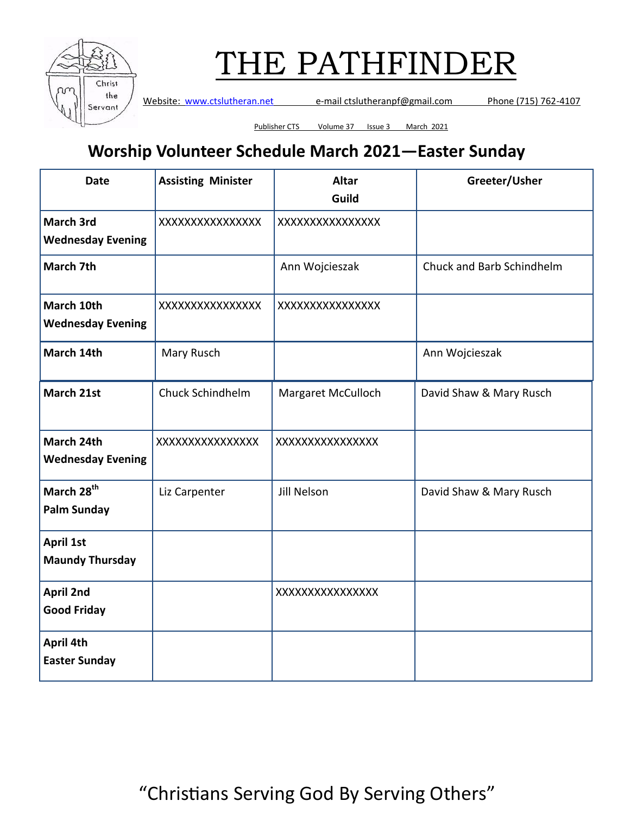

Website: [www.ctslutheran.net](http://www.ctslutheran.net/) e-mail ctslutheranpf@gmail.com Phone (715) 762-4107

Publisher CTS Volume 37 Issue 3 March 2021

### **Worship Volunteer Schedule March 2021—Easter Sunday**

| <b>Date</b>                                  | <b>Assisting Minister</b> | <b>Altar</b><br>Guild | Greeter/Usher             |
|----------------------------------------------|---------------------------|-----------------------|---------------------------|
| <b>March 3rd</b><br><b>Wednesday Evening</b> | XXXXXXXXXXXXXXX           | XXXXXXXXXXXXXXX       |                           |
| March 7th                                    |                           | Ann Wojcieszak        | Chuck and Barb Schindhelm |
| March 10th<br><b>Wednesday Evening</b>       | XXXXXXXXXXXXXXXX          | XXXXXXXXXXXXXXX       |                           |
| March 14th                                   | Mary Rusch                |                       | Ann Wojcieszak            |
| March 21st                                   | Chuck Schindhelm          | Margaret McCulloch    | David Shaw & Mary Rusch   |
| March 24th<br><b>Wednesday Evening</b>       | XXXXXXXXXXXXXXX           | XXXXXXXXXXXXXXX       |                           |
| March 28 <sup>th</sup><br><b>Palm Sunday</b> | Liz Carpenter             | Jill Nelson           | David Shaw & Mary Rusch   |
| <b>April 1st</b><br><b>Maundy Thursday</b>   |                           |                       |                           |
| <b>April 2nd</b><br><b>Good Friday</b>       |                           | XXXXXXXXXXXXXXX       |                           |
| April 4th<br><b>Easter Sunday</b>            |                           |                       |                           |